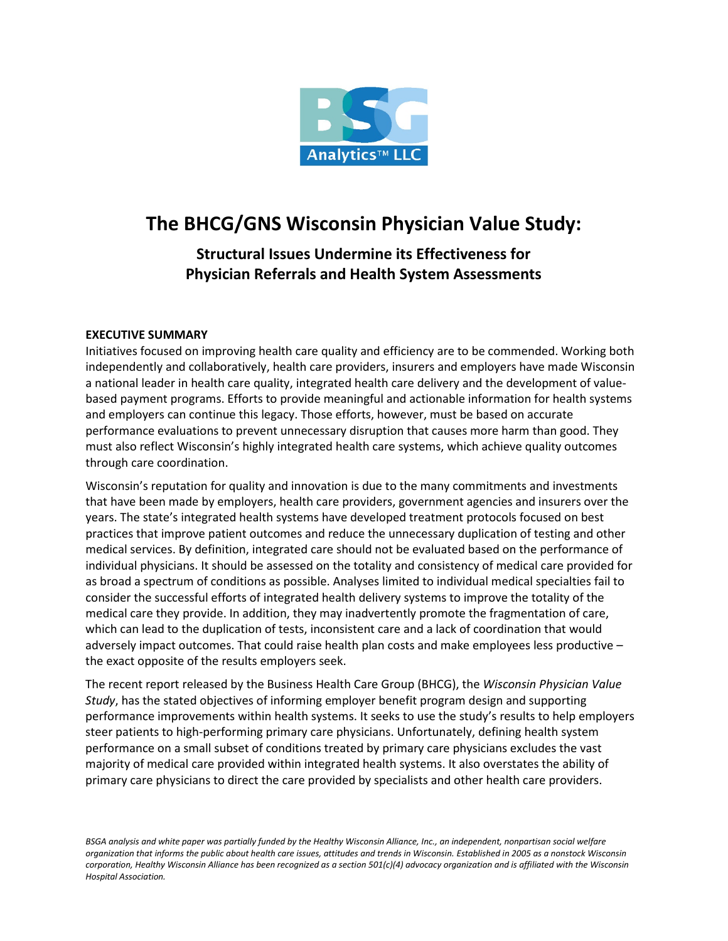

# **The BHCG/GNS Wisconsin Physician Value Study:**

**Structural Issues Undermine its Effectiveness for Physician Referrals and Health System Assessments**

## **EXECUTIVE SUMMARY**

Initiatives focused on improving health care quality and efficiency are to be commended. Working both independently and collaboratively, health care providers, insurers and employers have made Wisconsin a national leader in health care quality, integrated health care delivery and the development of valuebased payment programs. Efforts to provide meaningful and actionable information for health systems and employers can continue this legacy. Those efforts, however, must be based on accurate performance evaluations to prevent unnecessary disruption that causes more harm than good. They must also reflect Wisconsin's highly integrated health care systems, which achieve quality outcomes through care coordination.

Wisconsin's reputation for quality and innovation is due to the many commitments and investments that have been made by employers, health care providers, government agencies and insurers over the years. The state's integrated health systems have developed treatment protocols focused on best practices that improve patient outcomes and reduce the unnecessary duplication of testing and other medical services. By definition, integrated care should not be evaluated based on the performance of individual physicians. It should be assessed on the totality and consistency of medical care provided for as broad a spectrum of conditions as possible. Analyses limited to individual medical specialties fail to consider the successful efforts of integrated health delivery systems to improve the totality of the medical care they provide. In addition, they may inadvertently promote the fragmentation of care, which can lead to the duplication of tests, inconsistent care and a lack of coordination that would adversely impact outcomes. That could raise health plan costs and make employees less productive – the exact opposite of the results employers seek.

The recent report released by the Business Health Care Group (BHCG), the *Wisconsin Physician Value Study*, has the stated objectives of informing employer benefit program design and supporting performance improvements within health systems. It seeks to use the study's results to help employers steer patients to high-performing primary care physicians. Unfortunately, defining health system performance on a small subset of conditions treated by primary care physicians excludes the vast majority of medical care provided within integrated health systems. It also overstates the ability of primary care physicians to direct the care provided by specialists and other health care providers.

*BSGA analysis and white paper was partially funded by the Healthy Wisconsin Alliance, Inc., an independent, nonpartisan social welfare organization that informs the public about health care issues, attitudes and trends in Wisconsin. Established in 2005 as a nonstock Wisconsin corporation, Healthy Wisconsin Alliance has been recognized as a section 501(c)(4) advocacy organization and is affiliated with the Wisconsin Hospital Association.*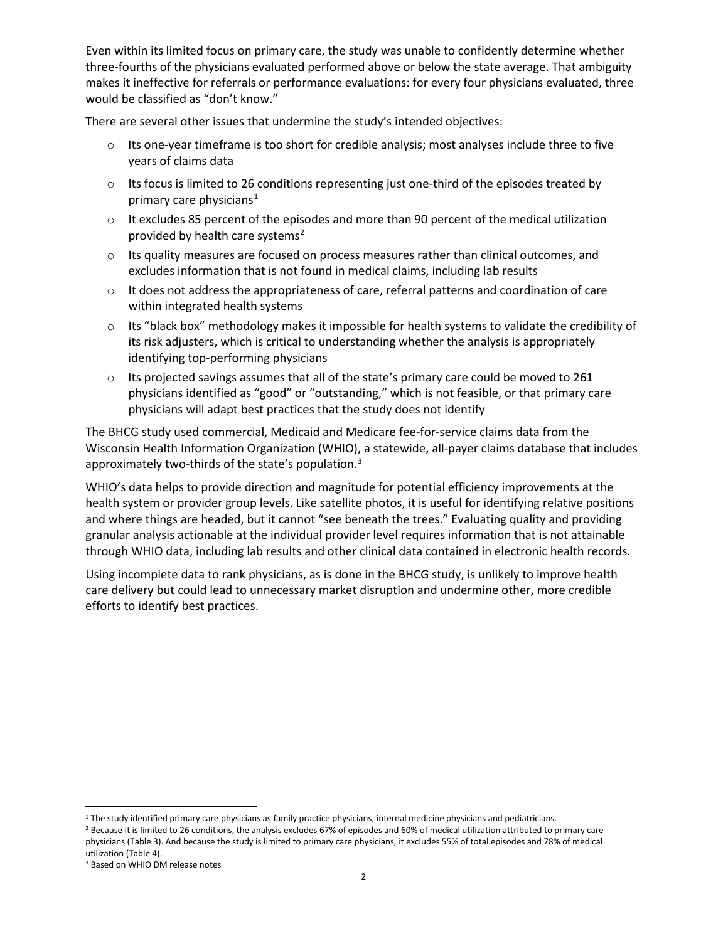Even within its limited focus on primary care, the study was unable to confidently determine whether three-fourths of the physicians evaluated performed above or below the state average. That ambiguity makes it ineffective for referrals or performance evaluations: for every four physicians evaluated, three would be classified as "don't know."

There are several other issues that undermine the study's intended objectives:

- $\circ$  Its one-year timeframe is too short for credible analysis; most analyses include three to five years of claims data
- $\circ$  Its focus is limited to 26 conditions representing just one-third of the episodes treated by primary care physicians $<sup>1</sup>$  $<sup>1</sup>$  $<sup>1</sup>$ </sup>
- $\circ$  It excludes 85 percent of the episodes and more than 90 percent of the medical utilization provided by health care systems<sup>[2](#page-1-1)</sup>
- o Its quality measures are focused on process measures rather than clinical outcomes, and excludes information that is not found in medical claims, including lab results
- $\circ$  It does not address the appropriateness of care, referral patterns and coordination of care within integrated health systems
- $\circ$  Its "black box" methodology makes it impossible for health systems to validate the credibility of its risk adjusters, which is critical to understanding whether the analysis is appropriately identifying top-performing physicians
- $\circ$  Its projected savings assumes that all of the state's primary care could be moved to 261 physicians identified as "good" or "outstanding," which is not feasible, or that primary care physicians will adapt best practices that the study does not identify

The BHCG study used commercial, Medicaid and Medicare fee-for-service claims data from the Wisconsin Health Information Organization (WHIO), a statewide, all-payer claims database that includes approximately two-thirds of the state's population.<sup>[3](#page-1-2)</sup>

WHIO's data helps to provide direction and magnitude for potential efficiency improvements at the health system or provider group levels. Like satellite photos, it is useful for identifying relative positions and where things are headed, but it cannot "see beneath the trees." Evaluating quality and providing granular analysis actionable at the individual provider level requires information that is not attainable through WHIO data, including lab results and other clinical data contained in electronic health records.

Using incomplete data to rank physicians, as is done in the BHCG study, is unlikely to improve health care delivery but could lead to unnecessary market disruption and undermine other, more credible efforts to identify best practices.

<span id="page-1-0"></span><sup>&</sup>lt;sup>1</sup> The study identified primary care physicians as family practice physicians, internal medicine physicians and pediatricians.<br><sup>2</sup> Because it is limited to 26 conditions, the analysis excludes 67% of episodes and 60% of m

<span id="page-1-1"></span>physicians (Table 3). And because the study is limited to primary care physicians, it excludes 55% of total episodes and 78% of medical utilization (Table 4).

<span id="page-1-2"></span><sup>3</sup> Based on WHIO DM release notes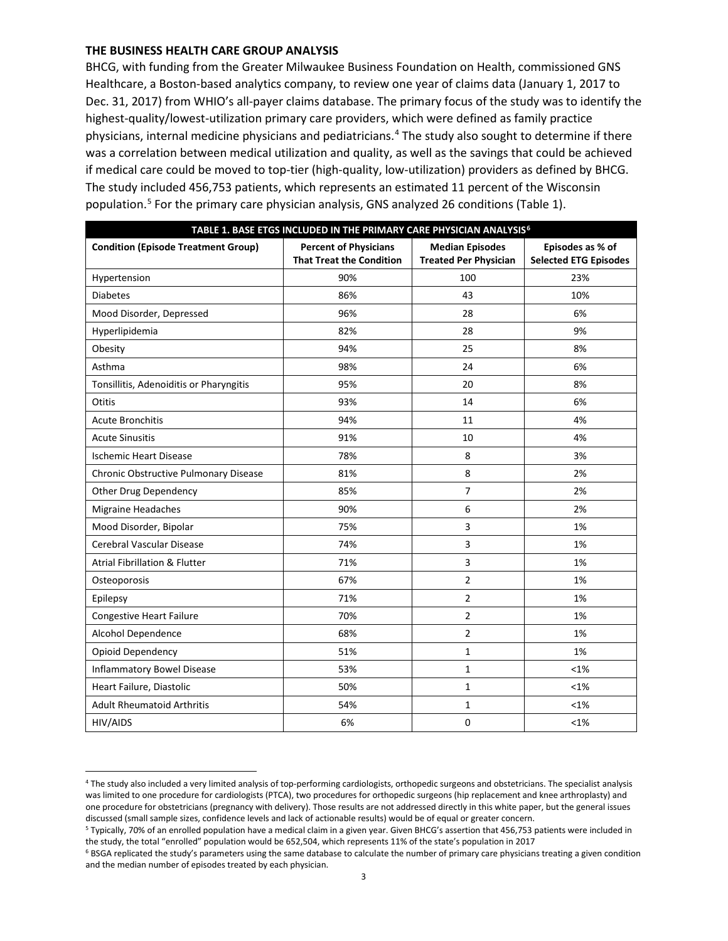#### **THE BUSINESS HEALTH CARE GROUP ANALYSIS**

BHCG, with funding from the Greater Milwaukee Business Foundation on Health, commissioned GNS Healthcare, a Boston-based analytics company, to review one year of claims data (January 1, 2017 to Dec. 31, 2017) from WHIO's all-payer claims database. The primary focus of the study was to identify the highest-quality/lowest-utilization primary care providers, which were defined as family practice physicians, internal medicine physicians and pediatricians. [4](#page-2-0) The study also sought to determine if there was a correlation between medical utilization and quality, as well as the savings that could be achieved if medical care could be moved to top-tier (high-quality, low-utilization) providers as defined by BHCG. The study included 456,753 patients, which represents an estimated 11 percent of the Wisconsin population. [5](#page-2-1) For the primary care physician analysis, GNS analyzed 26 conditions (Table 1).

| TABLE 1. BASE ETGS INCLUDED IN THE PRIMARY CARE PHYSICIAN ANALYSIS <sup>6</sup> |                                                                 |                                                        |                                                  |  |  |  |
|---------------------------------------------------------------------------------|-----------------------------------------------------------------|--------------------------------------------------------|--------------------------------------------------|--|--|--|
| <b>Condition (Episode Treatment Group)</b>                                      | <b>Percent of Physicians</b><br><b>That Treat the Condition</b> | <b>Median Episodes</b><br><b>Treated Per Physician</b> | Episodes as % of<br><b>Selected ETG Episodes</b> |  |  |  |
| Hypertension                                                                    | 90%                                                             | 100                                                    | 23%                                              |  |  |  |
| <b>Diabetes</b>                                                                 | 86%                                                             | 43                                                     | 10%                                              |  |  |  |
| Mood Disorder, Depressed                                                        | 96%                                                             | 28                                                     | 6%                                               |  |  |  |
| Hyperlipidemia                                                                  | 82%                                                             | 28                                                     | 9%                                               |  |  |  |
| Obesity                                                                         | 94%                                                             | 25                                                     | 8%                                               |  |  |  |
| Asthma                                                                          | 98%                                                             | 24                                                     | 6%                                               |  |  |  |
| Tonsillitis, Adenoiditis or Pharyngitis                                         | 95%                                                             | 20                                                     | 8%                                               |  |  |  |
| Otitis                                                                          | 93%                                                             | 14                                                     | 6%                                               |  |  |  |
| <b>Acute Bronchitis</b>                                                         | 94%                                                             | 11                                                     | 4%                                               |  |  |  |
| <b>Acute Sinusitis</b>                                                          | 91%                                                             | 10                                                     | 4%                                               |  |  |  |
| <b>Ischemic Heart Disease</b>                                                   | 78%                                                             | 8                                                      | 3%                                               |  |  |  |
| Chronic Obstructive Pulmonary Disease                                           | 81%                                                             | 8                                                      | 2%                                               |  |  |  |
| Other Drug Dependency                                                           | 85%                                                             | 7                                                      | 2%                                               |  |  |  |
| Migraine Headaches                                                              | 90%                                                             | 6                                                      | 2%                                               |  |  |  |
| Mood Disorder, Bipolar                                                          | 75%                                                             | 3                                                      | 1%                                               |  |  |  |
| Cerebral Vascular Disease                                                       | 74%                                                             | 3                                                      | 1%                                               |  |  |  |
| <b>Atrial Fibrillation &amp; Flutter</b>                                        | 71%                                                             | 3                                                      | 1%                                               |  |  |  |
| Osteoporosis                                                                    | 67%                                                             | $\overline{2}$                                         | 1%                                               |  |  |  |
| Epilepsy                                                                        | 71%                                                             | 2                                                      | 1%                                               |  |  |  |
| <b>Congestive Heart Failure</b>                                                 | 70%                                                             | $\overline{2}$                                         | 1%                                               |  |  |  |
| Alcohol Dependence                                                              | 68%                                                             | $\overline{2}$                                         | 1%                                               |  |  |  |
| Opioid Dependency                                                               | 51%                                                             | 1                                                      | 1%                                               |  |  |  |
| <b>Inflammatory Bowel Disease</b>                                               | 53%                                                             | $\mathbf{1}$                                           | $< 1\%$                                          |  |  |  |
| Heart Failure, Diastolic                                                        | 50%                                                             | $\mathbf 1$                                            | $< 1\%$                                          |  |  |  |
| <b>Adult Rheumatoid Arthritis</b>                                               | 54%                                                             | $\mathbf 1$                                            | $< 1\%$                                          |  |  |  |
| HIV/AIDS                                                                        | 6%                                                              | $\mathbf 0$                                            | $< 1\%$                                          |  |  |  |

<span id="page-2-0"></span>

| <sup>4</sup> The study also included a very limited analysis of top-performing cardiologists, orthopedic surgeons and obstetricians. The specialist analysis |
|--------------------------------------------------------------------------------------------------------------------------------------------------------------|
| was limited to one procedure for cardiologists (PTCA), two procedures for orthopedic surgeons (hip replacement and knee arthroplasty) and                    |
| one procedure for obstetricians (pregnancy with delivery). Those results are not addressed directly in this white paper, but the general issues              |
| discussed (small sample sizes, confidence levels and lack of actionable results) would be of equal or greater concern.                                       |

<span id="page-2-1"></span><sup>5</sup> Typically, 70% of an enrolled population have a medical claim in a given year. Given BHCG's assertion that 456,753 patients were included in the study, the total "enrolled" population would be 652,504, which represents 11% of the state's population in 2017

<span id="page-2-2"></span><sup>6</sup> BSGA replicated the study's parameters using the same database to calculate the number of primary care physicians treating a given condition and the median number of episodes treated by each physician.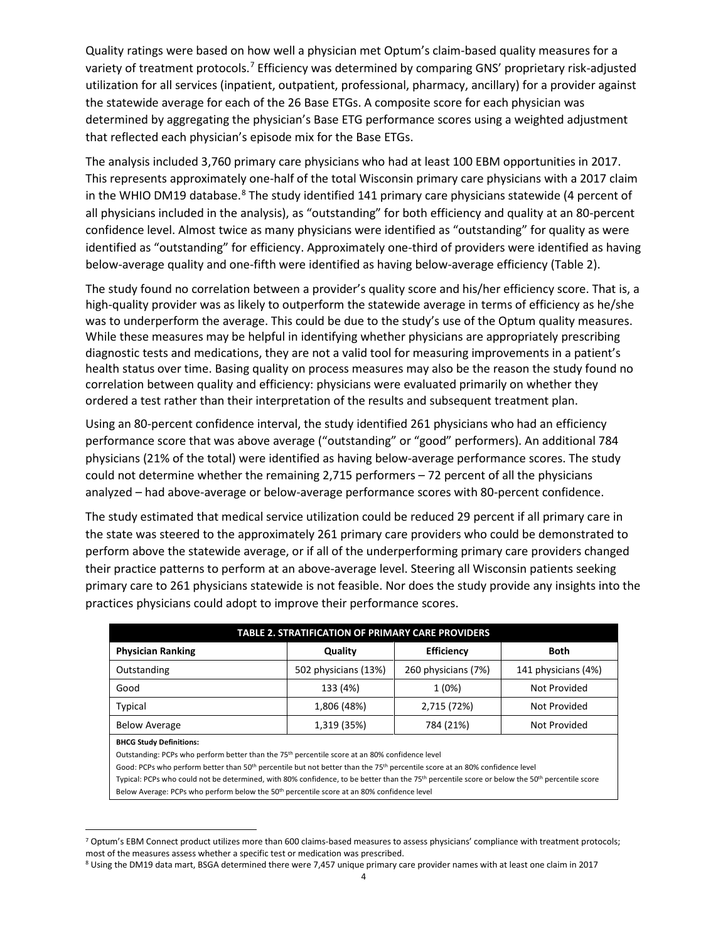Quality ratings were based on how well a physician met Optum's claim-based quality measures for a variety of treatment protocols.<sup>[7](#page-3-0)</sup> Efficiency was determined by comparing GNS' proprietary risk-adjusted utilization for all services (inpatient, outpatient, professional, pharmacy, ancillary) for a provider against the statewide average for each of the 26 Base ETGs. A composite score for each physician was determined by aggregating the physician's Base ETG performance scores using a weighted adjustment that reflected each physician's episode mix for the Base ETGs.

The analysis included 3,760 primary care physicians who had at least 100 EBM opportunities in 2017. This represents approximately one-half of the total Wisconsin primary care physicians with a 2017 claim in the WHIO DM19 database.<sup>[8](#page-3-1)</sup> The study identified 141 primary care physicians statewide (4 percent of all physicians included in the analysis), as "outstanding" for both efficiency and quality at an 80-percent confidence level. Almost twice as many physicians were identified as "outstanding" for quality as were identified as "outstanding" for efficiency. Approximately one-third of providers were identified as having below-average quality and one-fifth were identified as having below-average efficiency (Table 2).

The study found no correlation between a provider's quality score and his/her efficiency score. That is, a high-quality provider was as likely to outperform the statewide average in terms of efficiency as he/she was to underperform the average. This could be due to the study's use of the Optum quality measures. While these measures may be helpful in identifying whether physicians are appropriately prescribing diagnostic tests and medications, they are not a valid tool for measuring improvements in a patient's health status over time. Basing quality on process measures may also be the reason the study found no correlation between quality and efficiency: physicians were evaluated primarily on whether they ordered a test rather than their interpretation of the results and subsequent treatment plan.

Using an 80-percent confidence interval, the study identified 261 physicians who had an efficiency performance score that was above average ("outstanding" or "good" performers). An additional 784 physicians (21% of the total) were identified as having below-average performance scores. The study could not determine whether the remaining 2,715 performers – 72 percent of all the physicians analyzed – had above-average or below-average performance scores with 80-percent confidence.

The study estimated that medical service utilization could be reduced 29 percent if all primary care in the state was steered to the approximately 261 primary care providers who could be demonstrated to perform above the statewide average, or if all of the underperforming primary care providers changed their practice patterns to perform at an above-average level. Steering all Wisconsin patients seeking primary care to 261 physicians statewide is not feasible. Nor does the study provide any insights into the practices physicians could adopt to improve their performance scores.

| <b>TABLE 2. STRATIFICATION OF PRIMARY CARE PROVIDERS</b> |                      |                     |                     |  |  |  |
|----------------------------------------------------------|----------------------|---------------------|---------------------|--|--|--|
| <b>Physician Ranking</b>                                 | Quality              | <b>Efficiency</b>   | <b>Both</b>         |  |  |  |
| Outstanding                                              | 502 physicians (13%) | 260 physicians (7%) | 141 physicians (4%) |  |  |  |
| Good                                                     | 133 (4%)             | 1(0%)               | Not Provided        |  |  |  |
| <b>Typical</b>                                           | 1,806 (48%)          | 2,715 (72%)         | Not Provided        |  |  |  |
| <b>Below Average</b>                                     | 1,319 (35%)          | 784 (21%)           | Not Provided        |  |  |  |

**BHCG Study Definitions:**

Outstanding: PCPs who perform better than the 75th percentile score at an 80% confidence level

Good: PCPs who perform better than 50th percentile but not better than the 75th percentile score at an 80% confidence level

Typical: PCPs who could not be determined, with 80% confidence, to be better than the 75<sup>th</sup> percentile score or below the 50<sup>th</sup> percentile score Below Average: PCPs who perform below the 50<sup>th</sup> percentile score at an 80% confidence level

<span id="page-3-0"></span><sup>7</sup> Optum's EBM Connect product utilizes more than 600 claims-based measures to assess physicians' compliance with treatment protocols; most of the measures assess whether a specific test or medication was prescribed.

<span id="page-3-1"></span><sup>8</sup> Using the DM19 data mart, BSGA determined there were 7,457 unique primary care provider names with at least one claim in 2017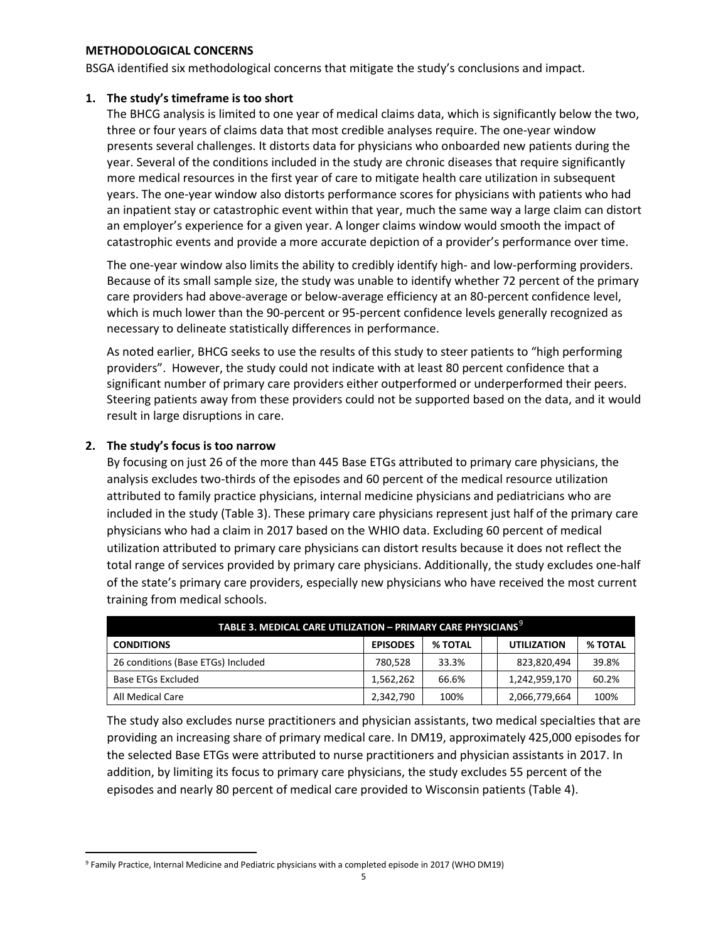#### **METHODOLOGICAL CONCERNS**

BSGA identified six methodological concerns that mitigate the study's conclusions and impact.

#### **1. The study's timeframe is too short**

The BHCG analysis is limited to one year of medical claims data, which is significantly below the two, three or four years of claims data that most credible analyses require. The one-year window presents several challenges. It distorts data for physicians who onboarded new patients during the year. Several of the conditions included in the study are chronic diseases that require significantly more medical resources in the first year of care to mitigate health care utilization in subsequent years. The one-year window also distorts performance scores for physicians with patients who had an inpatient stay or catastrophic event within that year, much the same way a large claim can distort an employer's experience for a given year. A longer claims window would smooth the impact of catastrophic events and provide a more accurate depiction of a provider's performance over time.

The one-year window also limits the ability to credibly identify high- and low-performing providers. Because of its small sample size, the study was unable to identify whether 72 percent of the primary care providers had above-average or below-average efficiency at an 80-percent confidence level, which is much lower than the 90-percent or 95-percent confidence levels generally recognized as necessary to delineate statistically differences in performance.

As noted earlier, BHCG seeks to use the results of this study to steer patients to "high performing providers". However, the study could not indicate with at least 80 percent confidence that a significant number of primary care providers either outperformed or underperformed their peers. Steering patients away from these providers could not be supported based on the data, and it would result in large disruptions in care.

## **2. The study's focus is too narrow**

By focusing on just 26 of the more than 445 Base ETGs attributed to primary care physicians, the analysis excludes two-thirds of the episodes and 60 percent of the medical resource utilization attributed to family practice physicians, internal medicine physicians and pediatricians who are included in the study (Table 3). These primary care physicians represent just half of the primary care physicians who had a claim in 2017 based on the WHIO data. Excluding 60 percent of medical utilization attributed to primary care physicians can distort results because it does not reflect the total range of services provided by primary care physicians. Additionally, the study excludes one-half of the state's primary care providers, especially new physicians who have received the most current training from medical schools.

| TABLE 3. MEDICAL CARE UTILIZATION - PRIMARY CARE PHYSICIANS <sup>9</sup> |                 |                |  |                    |                |
|--------------------------------------------------------------------------|-----------------|----------------|--|--------------------|----------------|
| <b>CONDITIONS</b>                                                        | <b>EPISODES</b> | <b>% TOTAL</b> |  | <b>UTILIZATION</b> | <b>% TOTAL</b> |
| 26 conditions (Base ETGs) Included                                       | 780.528         | 33.3%          |  | 823,820,494        | 39.8%          |
| Base ETGs Excluded                                                       | 1,562,262       | 66.6%          |  | 1,242,959,170      | 60.2%          |
| All Medical Care                                                         | 2,342,790       | 100%           |  | 2,066,779,664      | 100%           |

The study also excludes nurse practitioners and physician assistants, two medical specialties that are providing an increasing share of primary medical care. In DM19, approximately 425,000 episodes for the selected Base ETGs were attributed to nurse practitioners and physician assistants in 2017. In addition, by limiting its focus to primary care physicians, the study excludes 55 percent of the episodes and nearly 80 percent of medical care provided to Wisconsin patients (Table 4).

<span id="page-4-0"></span><sup>9</sup> Family Practice, Internal Medicine and Pediatric physicians with a completed episode in 2017 (WHO DM19)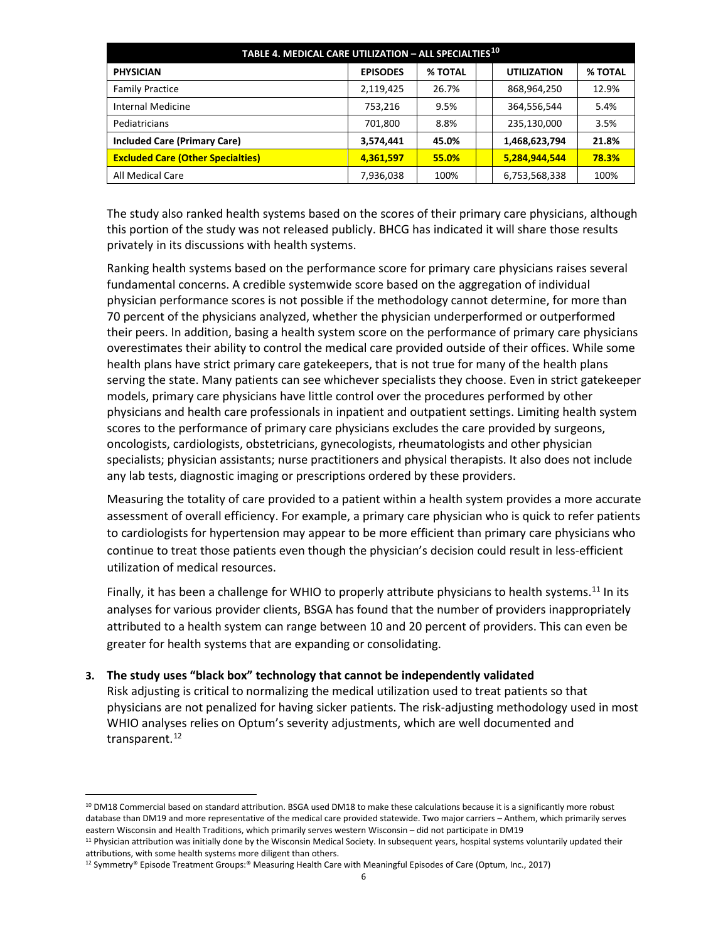| TABLE 4. MEDICAL CARE UTILIZATION - ALL SPECIALTIES <sup>10</sup> |                 |         |  |                    |                |
|-------------------------------------------------------------------|-----------------|---------|--|--------------------|----------------|
| <b>PHYSICIAN</b>                                                  | <b>EPISODES</b> | % TOTAL |  | <b>UTILIZATION</b> | <b>% TOTAL</b> |
| <b>Family Practice</b>                                            | 2,119,425       | 26.7%   |  | 868,964,250        | 12.9%          |
| Internal Medicine                                                 | 753,216         | 9.5%    |  | 364,556,544        | 5.4%           |
| Pediatricians                                                     | 701,800         | 8.8%    |  | 235,130,000        | 3.5%           |
| <b>Included Care (Primary Care)</b>                               | 3,574,441       | 45.0%   |  | 1,468,623,794      | 21.8%          |
| <b>Excluded Care (Other Specialties)</b>                          | 4,361,597       | 55.0%   |  | 5,284,944,544      | <b>78.3%</b>   |
| All Medical Care                                                  | 7,936,038       | 100%    |  | 6,753,568,338      | 100%           |

The study also ranked health systems based on the scores of their primary care physicians, although this portion of the study was not released publicly. BHCG has indicated it will share those results privately in its discussions with health systems.

Ranking health systems based on the performance score for primary care physicians raises several fundamental concerns. A credible systemwide score based on the aggregation of individual physician performance scores is not possible if the methodology cannot determine, for more than 70 percent of the physicians analyzed, whether the physician underperformed or outperformed their peers. In addition, basing a health system score on the performance of primary care physicians overestimates their ability to control the medical care provided outside of their offices. While some health plans have strict primary care gatekeepers, that is not true for many of the health plans serving the state. Many patients can see whichever specialists they choose. Even in strict gatekeeper models, primary care physicians have little control over the procedures performed by other physicians and health care professionals in inpatient and outpatient settings. Limiting health system scores to the performance of primary care physicians excludes the care provided by surgeons, oncologists, cardiologists, obstetricians, gynecologists, rheumatologists and other physician specialists; physician assistants; nurse practitioners and physical therapists. It also does not include any lab tests, diagnostic imaging or prescriptions ordered by these providers.

Measuring the totality of care provided to a patient within a health system provides a more accurate assessment of overall efficiency. For example, a primary care physician who is quick to refer patients to cardiologists for hypertension may appear to be more efficient than primary care physicians who continue to treat those patients even though the physician's decision could result in less-efficient utilization of medical resources.

Finally, it has been a challenge for WHIO to properly attribute physicians to health systems.<sup>[11](#page-5-1)</sup> In its analyses for various provider clients, BSGA has found that the number of providers inappropriately attributed to a health system can range between 10 and 20 percent of providers. This can even be greater for health systems that are expanding or consolidating.

## **3. The study uses "black box" technology that cannot be independently validated**

Risk adjusting is critical to normalizing the medical utilization used to treat patients so that physicians are not penalized for having sicker patients. The risk-adjusting methodology used in most WHIO analyses relies on Optum's severity adjustments, which are well documented and transparent. [12](#page-5-2)

<span id="page-5-0"></span> $10$  DM18 Commercial based on standard attribution. BSGA used DM18 to make these calculations because it is a significantly more robust database than DM19 and more representative of the medical care provided statewide. Two major carriers – Anthem, which primarily serves eastern Wisconsin and Health Traditions, which primarily serves western Wisconsin – did not participate in DM19

<span id="page-5-1"></span><sup>&</sup>lt;sup>11</sup> Physician attribution was initially done by the Wisconsin Medical Society. In subsequent years, hospital systems voluntarily updated their attributions, with some health systems more diligent than others.

<span id="page-5-2"></span><sup>12</sup> Symmetry® Episode Treatment Groups:® Measuring Health Care with Meaningful Episodes of Care (Optum, Inc., 2017)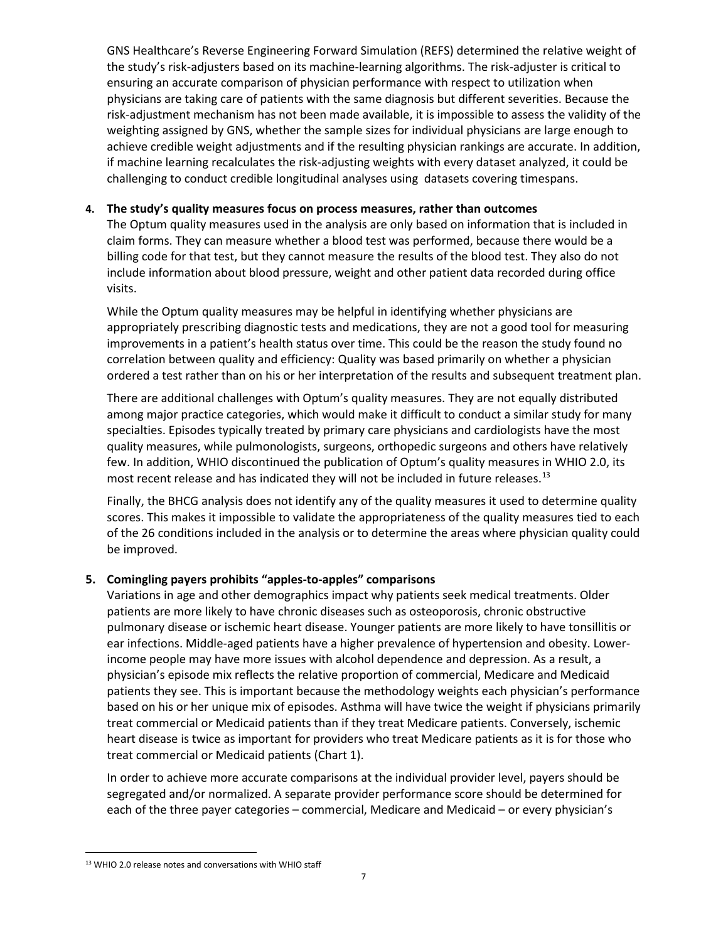GNS Healthcare's Reverse Engineering Forward Simulation (REFS) determined the relative weight of the study's risk-adjusters based on its machine-learning algorithms. The risk-adjuster is critical to ensuring an accurate comparison of physician performance with respect to utilization when physicians are taking care of patients with the same diagnosis but different severities. Because the risk-adjustment mechanism has not been made available, it is impossible to assess the validity of the weighting assigned by GNS, whether the sample sizes for individual physicians are large enough to achieve credible weight adjustments and if the resulting physician rankings are accurate. In addition, if machine learning recalculates the risk-adjusting weights with every dataset analyzed, it could be challenging to conduct credible longitudinal analyses using datasets covering timespans.

# **4. The study's quality measures focus on process measures, rather than outcomes**

The Optum quality measures used in the analysis are only based on information that is included in claim forms. They can measure whether a blood test was performed, because there would be a billing code for that test, but they cannot measure the results of the blood test. They also do not include information about blood pressure, weight and other patient data recorded during office visits.

While the Optum quality measures may be helpful in identifying whether physicians are appropriately prescribing diagnostic tests and medications, they are not a good tool for measuring improvements in a patient's health status over time. This could be the reason the study found no correlation between quality and efficiency: Quality was based primarily on whether a physician ordered a test rather than on his or her interpretation of the results and subsequent treatment plan.

There are additional challenges with Optum's quality measures. They are not equally distributed among major practice categories, which would make it difficult to conduct a similar study for many specialties. Episodes typically treated by primary care physicians and cardiologists have the most quality measures, while pulmonologists, surgeons, orthopedic surgeons and others have relatively few. In addition, WHIO discontinued the publication of Optum's quality measures in WHIO 2.0, its most recent release and has indicated they will not be included in future releases. [13](#page-6-0)

Finally, the BHCG analysis does not identify any of the quality measures it used to determine quality scores. This makes it impossible to validate the appropriateness of the quality measures tied to each of the 26 conditions included in the analysis or to determine the areas where physician quality could be improved.

# **5. Comingling payers prohibits "apples-to-apples" comparisons**

Variations in age and other demographics impact why patients seek medical treatments. Older patients are more likely to have chronic diseases such as osteoporosis, chronic obstructive pulmonary disease or ischemic heart disease. Younger patients are more likely to have tonsillitis or ear infections. Middle-aged patients have a higher prevalence of hypertension and obesity. Lowerincome people may have more issues with alcohol dependence and depression. As a result, a physician's episode mix reflects the relative proportion of commercial, Medicare and Medicaid patients they see. This is important because the methodology weights each physician's performance based on his or her unique mix of episodes. Asthma will have twice the weight if physicians primarily treat commercial or Medicaid patients than if they treat Medicare patients. Conversely, ischemic heart disease is twice as important for providers who treat Medicare patients as it is for those who treat commercial or Medicaid patients (Chart 1).

In order to achieve more accurate comparisons at the individual provider level, payers should be segregated and/or normalized. A separate provider performance score should be determined for each of the three payer categories – commercial, Medicare and Medicaid – or every physician's

<span id="page-6-0"></span><sup>13</sup> WHIO 2.0 release notes and conversations with WHIO staff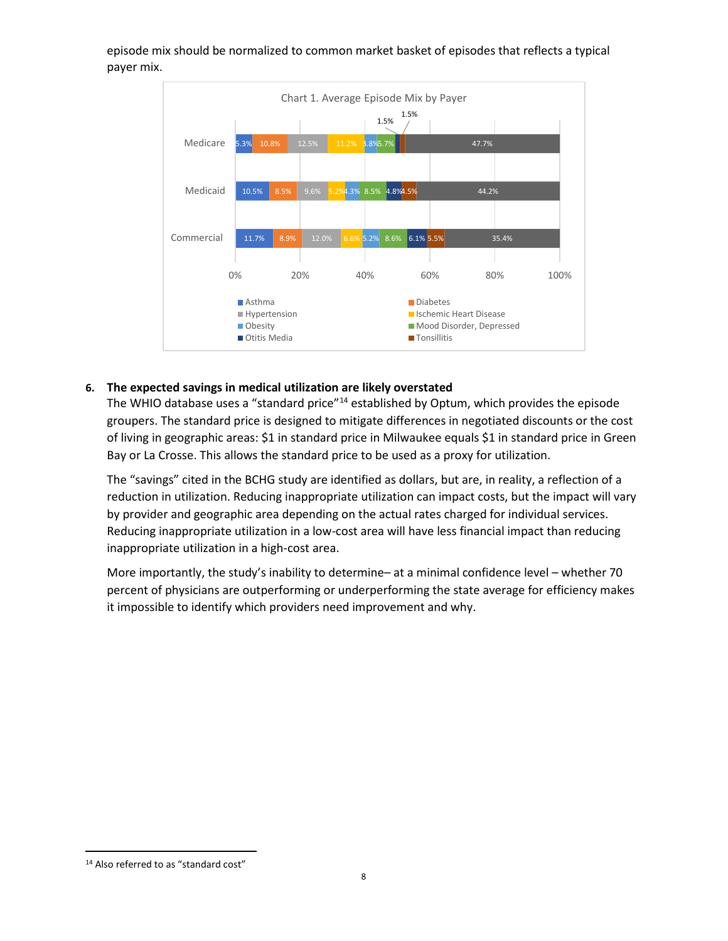

episode mix should be normalized to common market basket of episodes that reflects a typical payer mix.

## **6. The expected savings in medical utilization are likely overstated**

The WHIO database uses a "standard price"<sup>[14](#page-7-0)</sup> established by Optum, which provides the episode groupers. The standard price is designed to mitigate differences in negotiated discounts or the cost of living in geographic areas: \$1 in standard price in Milwaukee equals \$1 in standard price in Green Bay or La Crosse. This allows the standard price to be used as a proxy for utilization.

The "savings" cited in the BCHG study are identified as dollars, but are, in reality, a reflection of a reduction in utilization. Reducing inappropriate utilization can impact costs, but the impact will vary by provider and geographic area depending on the actual rates charged for individual services. Reducing inappropriate utilization in a low-cost area will have less financial impact than reducing inappropriate utilization in a high-cost area.

More importantly, the study's inability to determine– at a minimal confidence level – whether 70 percent of physicians are outperforming or underperforming the state average for efficiency makes it impossible to identify which providers need improvement and why.

<span id="page-7-0"></span><sup>&</sup>lt;sup>14</sup> Also referred to as "standard cost"